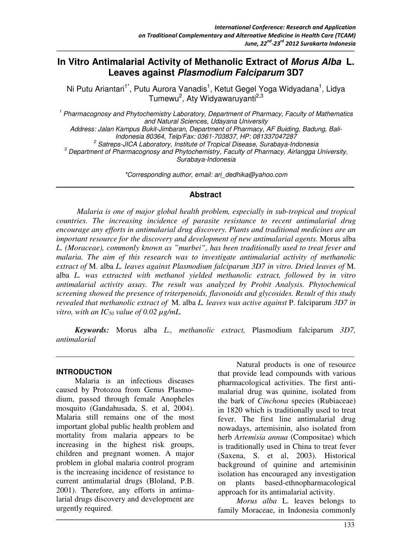# **In Vitro Antimalarial Activity of Methanolic Extract of Morus Alba L. Leaves against Plasmodium Falciparum 3D7**

Ni Putu Ariantari<sup>1\*</sup>, Putu Aurora Vanadis<sup>1</sup>, Ketut Gegel Yoga Widyadana<sup>1</sup>, Lidya Tumewu<sup>2</sup>, Aty Widyawaruyanti<sup>2,3</sup>

<sup>1</sup> Pharmacognosy and Phytochemistry Laboratory, Department of Pharmacy, Faculty of Mathematics and Natural Sciences, Udayana University Address: Jalan Kampus Bukit-Jimbaran, Department of Pharmacy, AF Buiding, Badung, Bali-Indonesia 80364, Telp/Fax: 0361-703837, HP: 081337047287 <sup>2</sup> Satreps-JICA Laboratory, Institute of Tropical Disease, Surabaya-Indonesia  $^3$  Department of Pharmacognosy and Phytochemistry, Faculty of Pharmacy, Airlangga University, Surabaya-Indonesia

\*Corresponding author, email: ari\_dedhika@yahoo.com

#### **Abstract**

 *Malaria is one of major global health problem, especially in sub-tropical and tropical countries. The increasing incidence of parasite resistance to recent antimalarial drug encourage any efforts in antimalarial drug discovery. Plants and traditional medicines are an important resource for the discovery and development of new antimalarial agents.* Morus alba *L. (Moraceae), commonly known as "murbei", has been traditionally used to treat fever and malaria. The aim of this research was to investigate antimalarial activity of methanolic extract of* M. alba *L. leaves against Plasmodium falciparum 3D7 in vitro. Dried leaves of* M. alba *L. was extracted with methanol yielded methanolic extract, followed by in vitro antimalarial activity assay. The result was analyzed by Probit Analysis. Phytochemical screening showed the presence of triterpenoids, flavonoids and glycosides. Result of this study revealed that methanolic extract of* M. alba *L. leaves was active against* P. falciparum *3D7 in vitro, with an*  $IC_{50}$  *value of 0.02*  $\mu$ *g/mL.* 

*Keywords:* Morus alba *L., methanolic extract,* Plasmodium falciparum *3D7, antimalarial* 

#### **INTRODUCTION**

Malaria is an infectious diseases caused by Protozoa from Genus Plasmodium, passed through female Anopheles mosquito (Gandahusada, S. et al, 2004). Malaria still remains one of the most important global public health problem and mortality from malaria appears to be increasing in the highest risk groups, children and pregnant women. A major problem in global malaria control program is the increasing incidence of resistance to current antimalarial drugs (Bloland, P.B. 2001). Therefore, any efforts in antimalarial drugs discovery and development are urgently required.

Natural products is one of resource that provide lead compounds with various pharmacological activities. The first antimalarial drug was quinine, isolated from the bark of *Cinchona* species (Rubiaceae) in 1820 which is traditionally used to treat fever. The first line antimalarial drug nowadays, artemisinin, also isolated from herb *Artemisia annua* (Compositae) which is traditionally used in China to treat fever (Saxena, S. et al, 2003). Historical background of quinine and artemisinin isolation has encouraged any investigation on plants based-ethnopharmacological approach for its antimalarial activity.

*Morus alba* L. leaves belongs to family Moraceae, in Indonesia commonly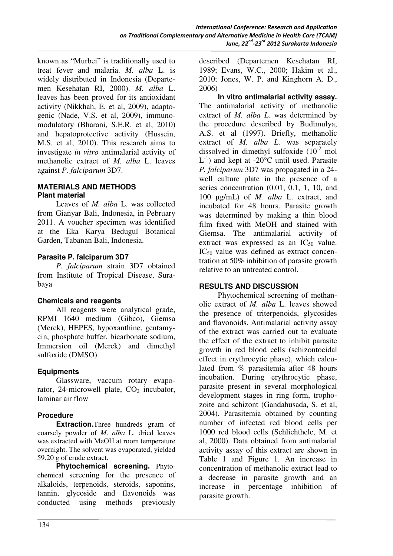known as "Murbei" is traditionally used to treat fever and malaria. *M. alba* L. is widely distributed in Indonesia (Departemen Kesehatan RI, 2000). *M. alba* L. leaves has been proved for its antioxidant activity (Nikkhah, E. et al, 2009), adaptogenic (Nade, V.S. et al, 2009), immunomodulatory (Bharani, S.E.R. et al, 2010) and hepatoprotective activity (Hussein, M.S. et al, 2010). This research aims to investigate *in vitro* antimalarial activity of methanolic extract of *M. alba* L. leaves against *P. falciparum* 3D7.

#### **MATERIALS AND METHODS Plant material**

Leaves of *M. alba* L. was collected from Gianyar Bali, Indonesia, in Pebruary 2011. A voucher specimen was identified at the Eka Karya Bedugul Botanical Garden, Tabanan Bali, Indonesia.

#### **Parasite P. falciparum 3D7**

*P. falciparum* strain 3D7 obtained from Institute of Tropical Disease, Surabaya

## **Chemicals and reagents**

All reagents were analytical grade, RPMI 1640 medium (Gibco), Giemsa (Merck), HEPES, hypoxanthine, gentamycin, phosphate buffer, bicarbonate sodium, Immersion oil (Merck) and dimethyl sulfoxide (DMSO).

## **Equipments**

Glassware, vaccum rotary evaporator, 24-microwell plate,  $CO<sub>2</sub>$  incubator, laminar air flow

# **Procedure**

**Extraction.**Three hundreds gram of coarsely powder of *M. alba* L. dried leaves was extracted with MeOH at room temperature overnight. The solvent was evaporated, yielded 59.20 g of crude extract.

**Phytochemical screening.** Phytochemical screening for the presence of alkaloids, terpenoids, steroids, saponins, tannin, glycoside and flavonoids was conducted using methods previously

described (Departemen Kesehatan RI, 1989; Evans, W.C., 2000; Hakim et al., 2010; Jones, W. P. and Kinghorn A. D., 2006)

**In vitro antimalarial activity assay.**  The antimalarial activity of methanolic extract of *M. alba L.* was determined by the procedure described by Budimulya, A.S. et al (1997). Briefly, methanolic extract of *M. alba L.* was separately dissolved in dimethyl sulfoxide  $(10^{-2} \text{ mol}$  $L^{-1}$ ) and kept at -20 $^{\circ}$ C until used. Parasite *P. falciparum* 3D7 was propagated in a 24 well culture plate in the presence of a series concentration  $(0.01, 0.1, 1, 10,$  and 100 µg/mL) of *M. alba* L. extract, and incubated for 48 hours. Parasite growth was determined by making a thin blood film fixed with MeOH and stained with Giemsa. The antimalarial activity of extract was expressed as an  $IC_{50}$  value.  $IC_{50}$  value was defined as extract concentration at 50% inhibition of parasite growth relative to an untreated control.

## **RESULTS AND DISCUSSION**

Phytochemical screening of methanolic extract of *M. alba* L. leaves showed the presence of triterpenoids, glycosides and flavonoids. Antimalarial activity assay of the extract was carried out to evaluate the effect of the extract to inhibit parasite growth in red blood cells (schizontocidal effect in erythrocytic phase), which calculated from % parasitemia after 48 hours incubation. During erythrocytic phase, parasite present in several morphological development stages in ring form, trophozoite and schizont (Gandahusada, S. et al, 2004). Parasitemia obtained by counting number of infected red blood cells per 1000 red blood cells (Schlichthele, M. et al, 2000). Data obtained from antimalarial activity assay of this extract are shown in Table 1 and Figure 1. An increase in concentration of methanolic extract lead to a decrease in parasite growth and an increase in percentage inhibition of parasite growth.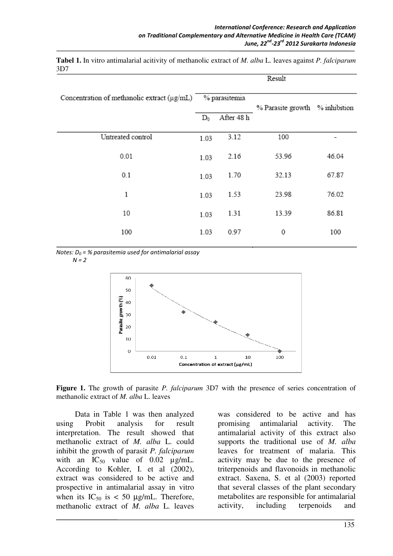**Tabel 1.** In vitro antimalarial acitivity of methanolic extract of *M. alba* L. leaves against *P. falciparum* 3D7

|                                             | result |               |                                |       |
|---------------------------------------------|--------|---------------|--------------------------------|-------|
| Concentration of methanolic extract (µg/mL) |        | % parasitemia | % Parasite growth % inhibition |       |
|                                             | $D_0$  | After 48 h    |                                |       |
| Untreated control                           | 1.03   | 3.12          | 100                            |       |
| 0.01                                        | 1.03   | 2.16          | 53.96                          | 46.04 |
| 0.1                                         | 1.03   | 1.70          | 32.13                          | 67.87 |
| 1                                           | 1.03   | 1.53          | 23.98                          | 76.02 |
| 10                                          | 1.03   | 1.31          | 13.39                          | 86.81 |
| 100                                         | 1.03   | 0.97          | 0                              | 100   |

Notes:  $D_0$  = % parasitemia used for antimalarial assay

 $N = 2$ 



**Figure 1.** The growth of parasite *P. falciparum* 3D7 with the presence of series concentration of methanolic extract of *M. alba* L. leaves

Data in Table 1 was then analyzed using Probit analysis for result interpretation. The result showed that methanolic extract of *M. alba* L. could inhibit the growth of parasit *P. falciparum* with an  $IC_{50}$  value of 0.02  $\mu$ g/mL. According to Kohler, I. et al (2002), extract was considered to be active and prospective in antimalarial assay in vitro when its  $IC_{50}$  is < 50  $\mu$ g/mL. Therefore, methanolic extract of *M. alba* L. leaves was considered to be active and has promising antimalarial activity. The antimalarial activity of this extract also supports the traditional use of *M. alba* leaves for treatment of malaria. This activity may be due to the presence of triterpenoids and flavonoids in methanolic extract. Saxena, S. et al (2003) reported that several classes of the plant secondary metabolites are responsible for antimalarial activity, including terpenoids and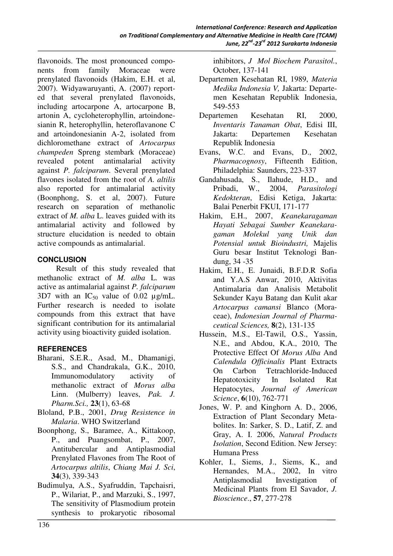flavonoids. The most pronounced components from family Moraceae were prenylated flavonoids (Hakim, E.H. et al, 2007). Widyawaruyanti, A. (2007) reported that several prenylated flavonoids, including artocarpone A, artocarpone B, artonin A, cycloheterophyllin, artoindonesianin R, heterophyllin, heteroflavanone C and artoindonesianin A-2, isolated from dichloromethane extract of *Artocarpus champeden* Spreng stembark (Moraceae) revealed potent antimalarial activity against *P. falciparum*. Several prenylated flavones isolated from the root of *A. altilis* also reported for antimalarial activity (Boonphong, S. et al, 2007). Future research on separation of methanolic extract of *M. alba* L. leaves guided with its antimalarial activity and followed by structure elucidation is needed to obtain active compounds as antimalarial.

## **CONCLUSION**

Result of this study revealed that methanolic extract of *M. alba* L. was active as antimalarial against *P. falciparum* 3D7 with an  $IC_{50}$  value of 0.02  $\mu$ g/mL. Further research is needed to isolate compounds from this extract that have significant contribution for its antimalarial activity using bioactivity guided isolation.

## **REFERENCES**

- Bharani, S.E.R., Asad, M., Dhamanigi, S.S., and Chandrakala, G.K., 2010, Immunomodulatory activity of methanolic extract of *Morus alba*  Linn. (Mulberry) leaves, *Pak. J. Pharm.Sci.,* **23**(1), 63-68
- Bloland, P.B., 2001, *Drug Resistence in Malaria*. WHO Switzerland
- Boonphong, S., Baramee, A., Kittakoop, P., and Puangsombat, P., 2007, Antitubercular and Antiplasmodial Prenylated Flavones from The Root of *Artocarpus altilis*, *Chiang Mai J. Sci*, **34**(3), 339-343
- Budimulya, A.S., Syafruddin, Tapchaisri, P., Wilariat, P., and Marzuki, S., 1997, The sensitivity of Plasmodium protein synthesis to prokaryotic ribosomal

inhibitors, *J Mol Biochem Parasitol.*, October, 137-141

- Departemen Kesehatan RI, 1989, *Materia Medika Indonesia V,* Jakarta: Departemen Kesehatan Republik Indonesia, 549-553
- Departemen Kesehatan RI, 2000, *Inventaris Tanaman Obat*, Edisi III, Jakarta: Departemen Kesehatan Republik Indonesia
- Evans, W.C. and Evans, D., 2002, *Pharmacognosy*, Fifteenth Edition, Philadelphia: Saunders, 223-337
- Gandahusada, S., Ilahude, H.D., and Pribadi, W., 2004, *Parasitologi Kedokteran*, Edisi Ketiga, Jakarta: Balai Penerbit FKUI, 171-177
- Hakim, E.H., 2007, *Keanekaragaman Hayati Sebagai Sumber Keanekaragaman Molekul yang Unik dan Potensial untuk Bioindustri,* Majelis Guru besar Institut Teknologi Bandung, 34 -35
- Hakim, E.H., E. Junaidi, B.F.D.R Sofia and Y.A.S Anwar, 2010, Aktivitas Antimalaria dan Analisis Metabolit Sekunder Kayu Batang dan Kulit akar *Artocarpus camansi* Blanco (Moraceae), *Indonesian Journal of Pharmaceutical Sciences,* **8**(2), 131-135
- Hussein, M.S., El-Tawil, O.S., Yassin, N.E., and Abdou, K.A., 2010, The Protective Effect Of *Morus Alba* And *Calendula Officinalis* Plant Extracts On Carbon Tetrachloride-Induced Hepatotoxicity In Isolated Rat Hepatocytes, *Journal of American Science*, **6**(10), 762-771
- Jones, W. P. and Kinghorn A. D., 2006, Extraction of Plant Secondary Metabolites. In: Sarker, S. D., Latif, Z. and Gray, A. I. 2006, *Natural Products Isolation*, Second Edition. New Jersey: Humana Press
- Kohler, I., Siems, J., Siems, K., and Hernandes, M.A., 2002, In vitro Antiplasmodial Investigation of Medicinal Plants from El Savador, *J. Bioscience*., **57**, 277-278